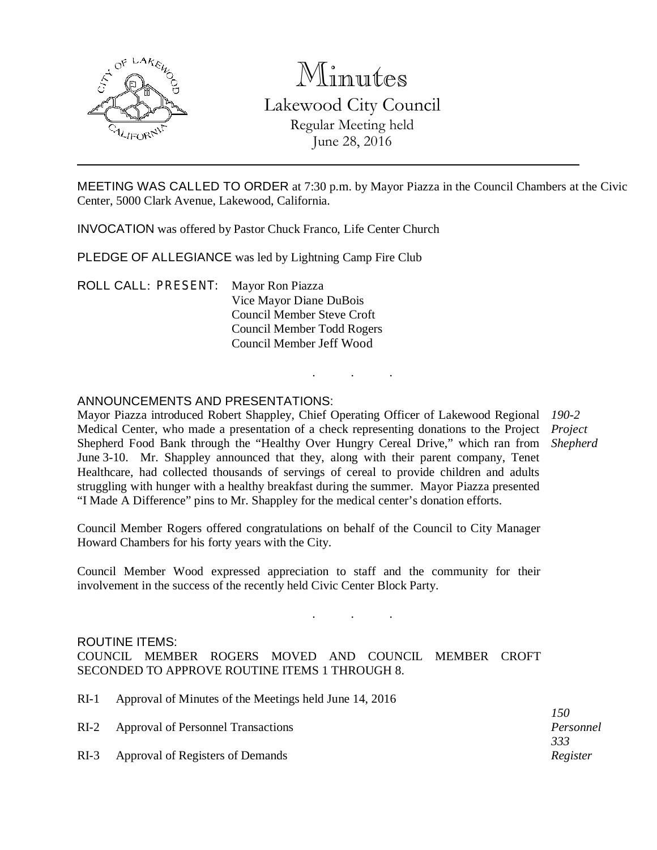

# Minutes Lakewood City Council Regular Meeting held June 28, 2016

MEETING WAS CALLED TO ORDER at 7:30 p.m. by Mayor Piazza in the Council Chambers at the Civic Center, 5000 Clark Avenue, Lakewood, California.

INVOCATION was offered by Pastor Chuck Franco, Life Center Church

PLEDGE OF ALLEGIANCE was led by Lightning Camp Fire Club

ROLL CALL: PRESENT: Mayor Ron Piazza Vice Mayor Diane DuBois Council Member Steve Croft Council Member Todd Rogers Council Member Jeff Wood

## ANNOUNCEMENTS AND PRESENTATIONS:

Mayor Piazza introduced Robert Shappley, Chief Operating Officer of Lakewood Regional Medical Center, who made a presentation of a check representing donations to the Project Shepherd Food Bank through the "Healthy Over Hungry Cereal Drive," which ran from June 3-10. Mr. Shappley announced that they, along with their parent company, Tenet Healthcare, had collected thousands of servings of cereal to provide children and adults struggling with hunger with a healthy breakfast during the summer. Mayor Piazza presented "I Made A Difference" pins to Mr. Shappley for the medical center's donation efforts. *190-2 Project Shepherd*

. . .

Council Member Rogers offered congratulations on behalf of the Council to City Manager Howard Chambers for his forty years with the City.

Council Member Wood expressed appreciation to staff and the community for their involvement in the success of the recently held Civic Center Block Party.

### ROUTINE ITEMS:

COUNCIL MEMBER ROGERS MOVED AND COUNCIL MEMBER CROFT SECONDED TO APPROVE ROUTINE ITEMS 1 THROUGH 8.

RI-1 Approval of Minutes of the Meetings held June 14, 2016

RI-2 Approval of Personnel Transactions RI-3 Approval of Registers of Demands *Personnel 333 Register*

. . .

*150*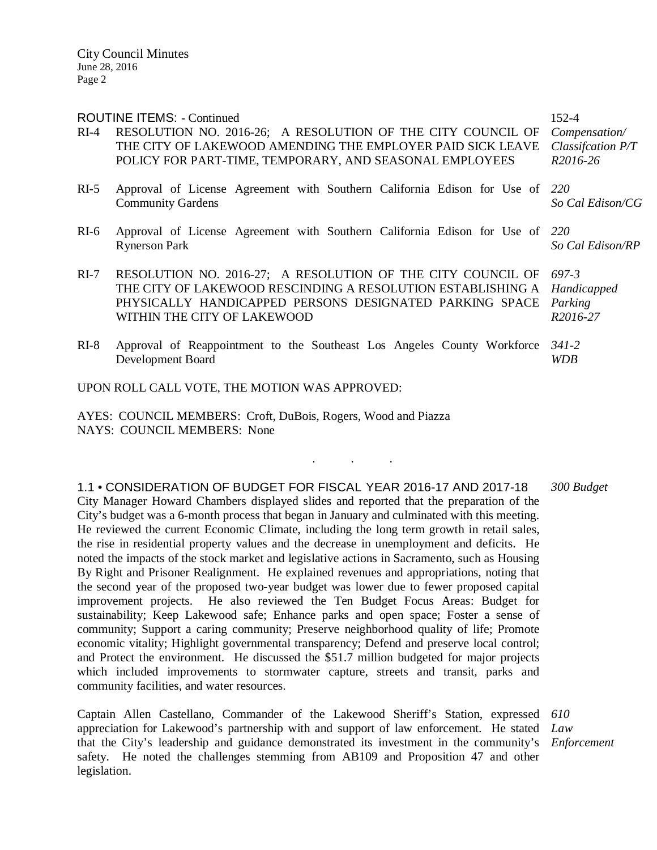| <b>ROUTINE ITEMS: - Continued</b> | 152-4                                                                                                                                                                                                                |                                                              |
|-----------------------------------|----------------------------------------------------------------------------------------------------------------------------------------------------------------------------------------------------------------------|--------------------------------------------------------------|
| $RI-4$                            | RESOLUTION NO. 2016-26; A RESOLUTION OF THE CITY COUNCIL OF<br>THE CITY OF LAKEWOOD AMENDING THE EMPLOYER PAID SICK LEAVE<br>POLICY FOR PART-TIME, TEMPORARY, AND SEASONAL EMPLOYEES                                 | Compensation/<br>Classification P/T<br>R <sub>2016</sub> -26 |
| $RI-5$                            | Approval of License Agreement with Southern California Edison for Use of 220<br><b>Community Gardens</b>                                                                                                             | So Cal Edison/CG                                             |
| $RI-6$                            | Approval of License Agreement with Southern California Edison for Use of 220<br><b>Rynerson Park</b>                                                                                                                 | So Cal Edison/RP                                             |
| $RI-7$                            | RESOLUTION NO. 2016-27; A RESOLUTION OF THE CITY COUNCIL OF<br>THE CITY OF LAKEWOOD RESCINDING A RESOLUTION ESTABLISHING A<br>PHYSICALLY HANDICAPPED PERSONS DESIGNATED PARKING SPACE<br>WITHIN THE CITY OF LAKEWOOD | 697-3<br>Handicapped<br>Parking<br>R2016-27                  |
| $RI-8$                            | Approval of Reappointment to the Southeast Los Angeles County Workforce<br>Development Board                                                                                                                         | 341-2<br><b>WDB</b>                                          |

UPON ROLL CALL VOTE, THE MOTION WAS APPROVED:

AYES: COUNCIL MEMBERS: Croft, DuBois, Rogers, Wood and Piazza NAYS: COUNCIL MEMBERS: None

1.1 • CONSIDERATION OF BUDGET FOR FISCAL YEAR 2016-17 AND 2017-18 City Manager Howard Chambers displayed slides and reported that the preparation of the City's budget was a 6-month process that began in January and culminated with this meeting. He reviewed the current Economic Climate, including the long term growth in retail sales, the rise in residential property values and the decrease in unemployment and deficits. He noted the impacts of the stock market and legislative actions in Sacramento, such as Housing By Right and Prisoner Realignment. He explained revenues and appropriations, noting that the second year of the proposed two-year budget was lower due to fewer proposed capital improvement projects. He also reviewed the Ten Budget Focus Areas: Budget for sustainability; Keep Lakewood safe; Enhance parks and open space; Foster a sense of community; Support a caring community; Preserve neighborhood quality of life; Promote economic vitality; Highlight governmental transparency; Defend and preserve local control; and Protect the environment. He discussed the \$51.7 million budgeted for major projects which included improvements to stormwater capture, streets and transit, parks and community facilities, and water resources. *300 Budget*

. . .

Captain Allen Castellano, Commander of the Lakewood Sheriff's Station, expressed *610* appreciation for Lakewood's partnership with and support of law enforcement. He stated *Law*  that the City's leadership and guidance demonstrated its investment in the community's *Enforcement*safety. He noted the challenges stemming from AB109 and Proposition 47 and other legislation.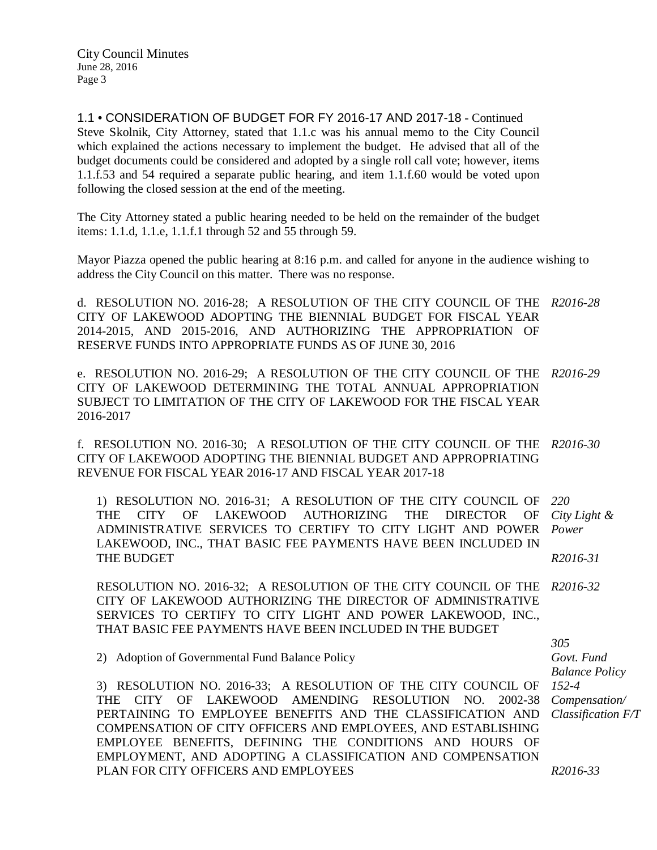1.1 • CONSIDERATION OF BUDGET FOR FY 2016-17 AND 2017-18 - Continued Steve Skolnik, City Attorney, stated that 1.1.c was his annual memo to the City Council which explained the actions necessary to implement the budget. He advised that all of the budget documents could be considered and adopted by a single roll call vote; however, items 1.1.f.53 and 54 required a separate public hearing, and item 1.1.f.60 would be voted upon following the closed session at the end of the meeting.

The City Attorney stated a public hearing needed to be held on the remainder of the budget items: 1.1.d, 1.1.e, 1.1.f.1 through 52 and 55 through 59.

Mayor Piazza opened the public hearing at 8:16 p.m. and called for anyone in the audience wishing to address the City Council on this matter. There was no response.

d. RESOLUTION NO. 2016-28; A RESOLUTION OF THE CITY COUNCIL OF THE *R2016-28* CITY OF LAKEWOOD ADOPTING THE BIENNIAL BUDGET FOR FISCAL YEAR 2014-2015, AND 2015-2016, AND AUTHORIZING THE APPROPRIATION OF RESERVE FUNDS INTO APPROPRIATE FUNDS AS OF JUNE 30, 2016

e. RESOLUTION NO. 2016-29; A RESOLUTION OF THE CITY COUNCIL OF THE *R2016-29* CITY OF LAKEWOOD DETERMINING THE TOTAL ANNUAL APPROPRIATION SUBJECT TO LIMITATION OF THE CITY OF LAKEWOOD FOR THE FISCAL YEAR 2016-2017

f. RESOLUTION NO. 2016-30; A RESOLUTION OF THE CITY COUNCIL OF THE *R2016-30* CITY OF LAKEWOOD ADOPTING THE BIENNIAL BUDGET AND APPROPRIATING REVENUE FOR FISCAL YEAR 2016-17 AND FISCAL YEAR 2017-18

1) RESOLUTION NO. 2016-31; A RESOLUTION OF THE CITY COUNCIL OF THE CITY OF LAKEWOOD AUTHORIZING THE DIRECTOR OF ADMINISTRATIVE SERVICES TO CERTIFY TO CITY LIGHT AND POWER LAKEWOOD, INC., THAT BASIC FEE PAYMENTS HAVE BEEN INCLUDED IN THE BUDGET *220 City Light & Power R2016-31*

RESOLUTION NO. 2016-32; A RESOLUTION OF THE CITY COUNCIL OF THE *R2016-32* CITY OF LAKEWOOD AUTHORIZING THE DIRECTOR OF ADMINISTRATIVE SERVICES TO CERTIFY TO CITY LIGHT AND POWER LAKEWOOD, INC., THAT BASIC FEE PAYMENTS HAVE BEEN INCLUDED IN THE BUDGET

2) Adoption of Governmental Fund Balance Policy

3) RESOLUTION NO. 2016-33; A RESOLUTION OF THE CITY COUNCIL OF THE CITY OF LAKEWOOD AMENDING RESOLUTION NO. 2002-38 PERTAINING TO EMPLOYEE BENEFITS AND THE CLASSIFICATION AND COMPENSATION OF CITY OFFICERS AND EMPLOYEES, AND ESTABLISHING EMPLOYEE BENEFITS, DEFINING THE CONDITIONS AND HOURS OF EMPLOYMENT, AND ADOPTING A CLASSIFICATION AND COMPENSATION PLAN FOR CITY OFFICERS AND EMPLOYEES

*305 Govt. Fund Balance Policy 152-4 Compensation/ Classification F/T*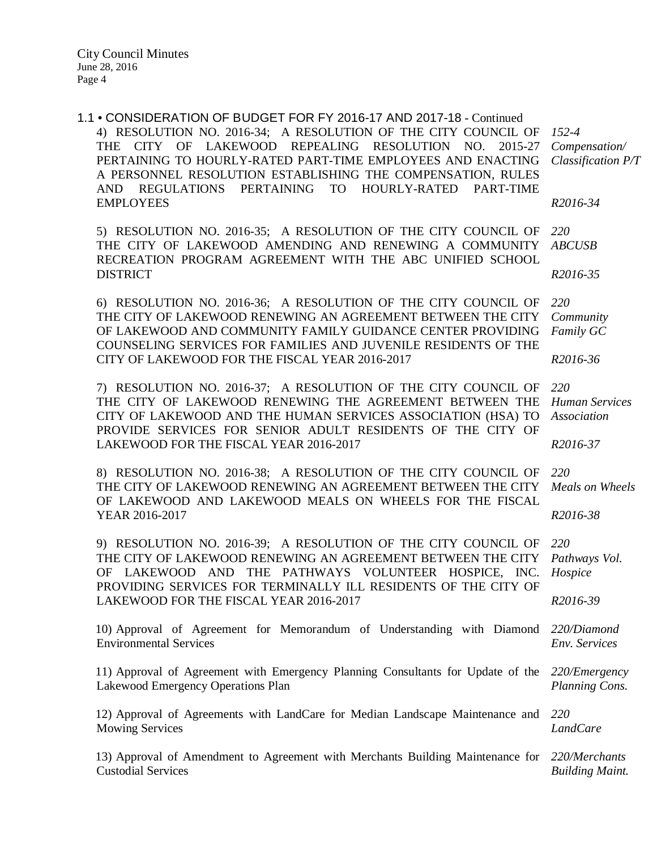1.1 • CONSIDERATION OF BUDGET FOR FY 2016-17 AND 2017-18 - Continued 4) RESOLUTION NO. 2016-34; A RESOLUTION OF THE CITY COUNCIL OF THE CITY OF LAKEWOOD REPEALING RESOLUTION NO. 2015-27 PERTAINING TO HOURLY-RATED PART-TIME EMPLOYEES AND ENACTING A PERSONNEL RESOLUTION ESTABLISHING THE COMPENSATION, RULES AND REGULATIONS PERTAINING TO HOURLY-RATED PART-TIME EMPLOYEES 5) RESOLUTION NO. 2016-35; A RESOLUTION OF THE CITY COUNCIL OF THE CITY OF LAKEWOOD AMENDING AND RENEWING A COMMUNITY RECREATION PROGRAM AGREEMENT WITH THE ABC UNIFIED SCHOOL DISTRICT 6) RESOLUTION NO. 2016-36; A RESOLUTION OF THE CITY COUNCIL OF THE CITY OF LAKEWOOD RENEWING AN AGREEMENT BETWEEN THE CITY OF LAKEWOOD AND COMMUNITY FAMILY GUIDANCE CENTER PROVIDING COUNSELING SERVICES FOR FAMILIES AND JUVENILE RESIDENTS OF THE CITY OF LAKEWOOD FOR THE FISCAL YEAR 2016-2017 7) RESOLUTION NO. 2016-37; A RESOLUTION OF THE CITY COUNCIL OF THE CITY OF LAKEWOOD RENEWING THE AGREEMENT BETWEEN THE CITY OF LAKEWOOD AND THE HUMAN SERVICES ASSOCIATION (HSA) TO PROVIDE SERVICES FOR SENIOR ADULT RESIDENTS OF THE CITY OF LAKEWOOD FOR THE FISCAL YEAR 2016-2017 8) RESOLUTION NO. 2016-38; A RESOLUTION OF THE CITY COUNCIL OF THE CITY OF LAKEWOOD RENEWING AN AGREEMENT BETWEEN THE CITY OF LAKEWOOD AND LAKEWOOD MEALS ON WHEELS FOR THE FISCAL YEAR 2016-2017 9) RESOLUTION NO. 2016-39; A RESOLUTION OF THE CITY COUNCIL OF THE CITY OF LAKEWOOD RENEWING AN AGREEMENT BETWEEN THE CITY OF LAKEWOOD AND THE PATHWAYS VOLUNTEER HOSPICE, INC. PROVIDING SERVICES FOR TERMINALLY ILL RESIDENTS OF THE CITY OF LAKEWOOD FOR THE FISCAL YEAR 2016-2017 10) Approval of Agreement for Memorandum of Understanding with Diamond Environmental Services 11) Approval of Agreement with Emergency Planning Consultants for Update of the Lakewood Emergency Operations Plan 12) Approval of Agreements with LandCare for Median Landscape Maintenance and Mowing Services 13) Approval of Amendment to Agreement with Merchants Building Maintenance for *220/Merchants*  Custodial Services *152-4 Compensation/ Classification P/T R2016-34 220 ABCUSB R2016-35 220 Community Family GC R2016-36 220 Human Services Association R2016-37 220 Meals on Wheels R2016-38 220 Pathways Vol. Hospice R2016-39 220/Diamond Env. Services 220/Emergency Planning Cons. 220 LandCare Building Maint.*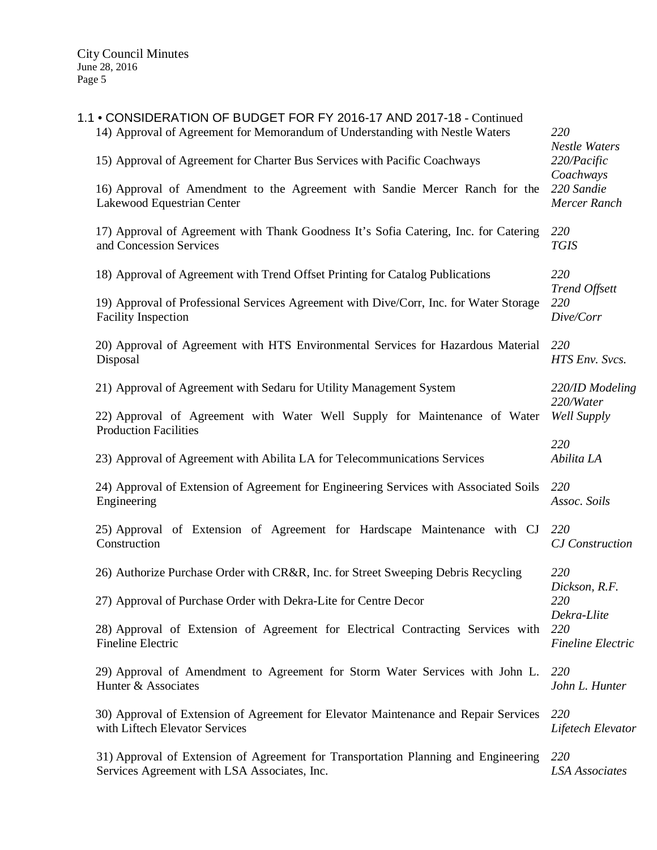| 1.1 • CONSIDERATION OF BUDGET FOR FY 2016-17 AND 2017-18 - Continued<br>14) Approval of Agreement for Memorandum of Understanding with Nestle Waters | 220<br><b>Nestle Waters</b>                                                   |
|------------------------------------------------------------------------------------------------------------------------------------------------------|-------------------------------------------------------------------------------|
| 15) Approval of Agreement for Charter Bus Services with Pacific Coachways                                                                            | 220/Pacific                                                                   |
| 16) Approval of Amendment to the Agreement with Sandie Mercer Ranch for the<br>Lakewood Equestrian Center                                            | Coachways<br>220 Sandie<br>Mercer Ranch                                       |
| 17) Approval of Agreement with Thank Goodness It's Sofia Catering, Inc. for Catering<br>and Concession Services                                      | 220<br><b>TGIS</b>                                                            |
| 18) Approval of Agreement with Trend Offset Printing for Catalog Publications                                                                        | 220                                                                           |
| 19) Approval of Professional Services Agreement with Dive/Corr, Inc. for Water Storage<br><b>Facility Inspection</b>                                 | <b>Trend Offsett</b><br>220<br>Dive/Corr                                      |
| 20) Approval of Agreement with HTS Environmental Services for Hazardous Material<br>Disposal                                                         | 220<br>HTS Env. Svcs.                                                         |
| 21) Approval of Agreement with Sedaru for Utility Management System                                                                                  | 220/ID Modeling<br>220/Water<br>Well Supply                                   |
| 22) Approval of Agreement with Water Well Supply for Maintenance of Water<br><b>Production Facilities</b>                                            |                                                                               |
| 23) Approval of Agreement with Abilita LA for Telecommunications Services                                                                            | 220<br>Abilita LA                                                             |
| 24) Approval of Extension of Agreement for Engineering Services with Associated Soils<br>Engineering                                                 | 220<br>Assoc. Soils                                                           |
| 25) Approval of Extension of Agreement for Hardscape Maintenance with CJ<br>Construction                                                             | 220<br><b>CJ</b> Construction                                                 |
| 26) Authorize Purchase Order with CR&R, Inc. for Street Sweeping Debris Recycling                                                                    | 220<br>Dickson, R.F.<br>220<br>Dekra-Llite<br>220<br><b>Fineline Electric</b> |
| 27) Approval of Purchase Order with Dekra-Lite for Centre Decor                                                                                      |                                                                               |
| 28) Approval of Extension of Agreement for Electrical Contracting Services with<br>Fineline Electric                                                 |                                                                               |
| 29) Approval of Amendment to Agreement for Storm Water Services with John L.<br>Hunter & Associates                                                  | 220<br>John L. Hunter                                                         |
| 30) Approval of Extension of Agreement for Elevator Maintenance and Repair Services<br>with Liftech Elevator Services                                | 220<br>Lifetech Elevator                                                      |
| 31) Approval of Extension of Agreement for Transportation Planning and Engineering<br>Services Agreement with LSA Associates, Inc.                   | 220<br><b>LSA</b> Associates                                                  |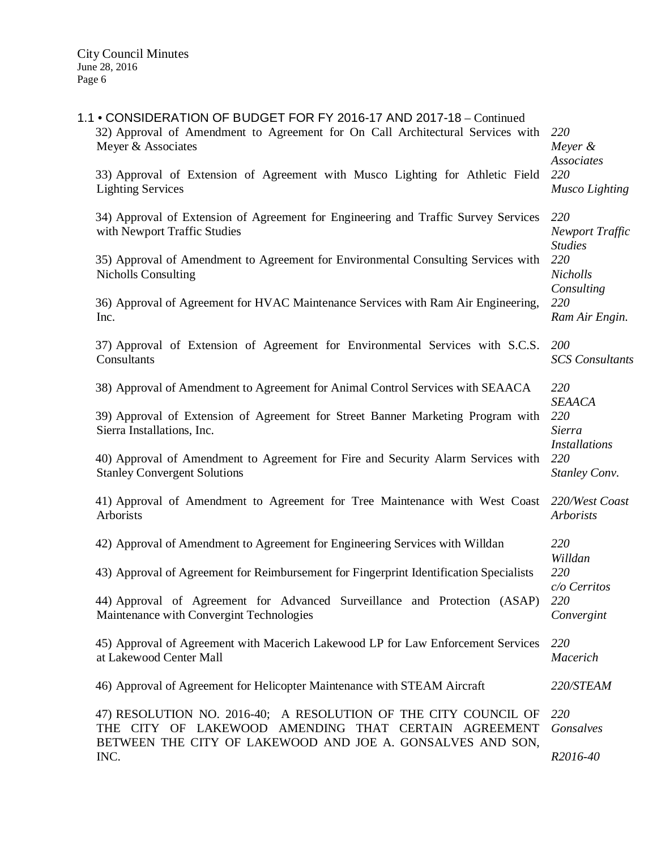| 1.1 • CONSIDERATION OF BUDGET FOR FY 2016-17 AND 2017-18 - Continued<br>32) Approval of Amendment to Agreement for On Call Architectural Services with<br>Meyer & Associates<br>33) Approval of Extension of Agreement with Musco Lighting for Athletic Field<br><b>Lighting Services</b> | 220<br>Meyer $&$<br>Associates<br>220<br>Musco Lighting |
|-------------------------------------------------------------------------------------------------------------------------------------------------------------------------------------------------------------------------------------------------------------------------------------------|---------------------------------------------------------|
| 34) Approval of Extension of Agreement for Engineering and Traffic Survey Services<br>with Newport Traffic Studies<br>35) Approval of Amendment to Agreement for Environmental Consulting Services with                                                                                   | 220<br>Newport Traffic<br><b>Studies</b><br>220         |
| <b>Nicholls Consulting</b><br>36) Approval of Agreement for HVAC Maintenance Services with Ram Air Engineering,<br>Inc.                                                                                                                                                                   | Nicholls<br>Consulting<br>220<br>Ram Air Engin.         |
| 37) Approval of Extension of Agreement for Environmental Services with S.C.S.<br>Consultants                                                                                                                                                                                              | 200<br><b>SCS</b> Consultants                           |
| 38) Approval of Amendment to Agreement for Animal Control Services with SEAACA                                                                                                                                                                                                            | 220                                                     |
| 39) Approval of Extension of Agreement for Street Banner Marketing Program with<br>Sierra Installations, Inc.                                                                                                                                                                             | <b>SEAACA</b><br>220<br>Sierra                          |
| 40) Approval of Amendment to Agreement for Fire and Security Alarm Services with<br><b>Stanley Convergent Solutions</b>                                                                                                                                                                   | Installations<br>220<br>Stanley Conv.                   |
| 41) Approval of Amendment to Agreement for Tree Maintenance with West Coast<br>Arborists                                                                                                                                                                                                  | 220/West Coast<br>Arborists                             |
| 42) Approval of Amendment to Agreement for Engineering Services with Willdan                                                                                                                                                                                                              | 220                                                     |
| 43) Approval of Agreement for Reimbursement for Fingerprint Identification Specialists                                                                                                                                                                                                    | Willdan<br>220                                          |
| 44) Approval of Agreement for Advanced Surveillance and Protection (ASAP)<br>Maintenance with Convergint Technologies                                                                                                                                                                     | c/o Cerritos<br>220<br>Convergint                       |
| 45) Approval of Agreement with Macerich Lakewood LP for Law Enforcement Services<br>at Lakewood Center Mall                                                                                                                                                                               | 220<br>Macerich                                         |
| 46) Approval of Agreement for Helicopter Maintenance with STEAM Aircraft                                                                                                                                                                                                                  | 220/STEAM                                               |
| 47) RESOLUTION NO. 2016-40; A RESOLUTION OF THE CITY COUNCIL OF<br>THE CITY OF LAKEWOOD AMENDING THAT CERTAIN AGREEMENT<br>BETWEEN THE CITY OF LAKEWOOD AND JOE A. GONSALVES AND SON,                                                                                                     | 220<br>Gonsalves                                        |
| INC.                                                                                                                                                                                                                                                                                      | R2016-40                                                |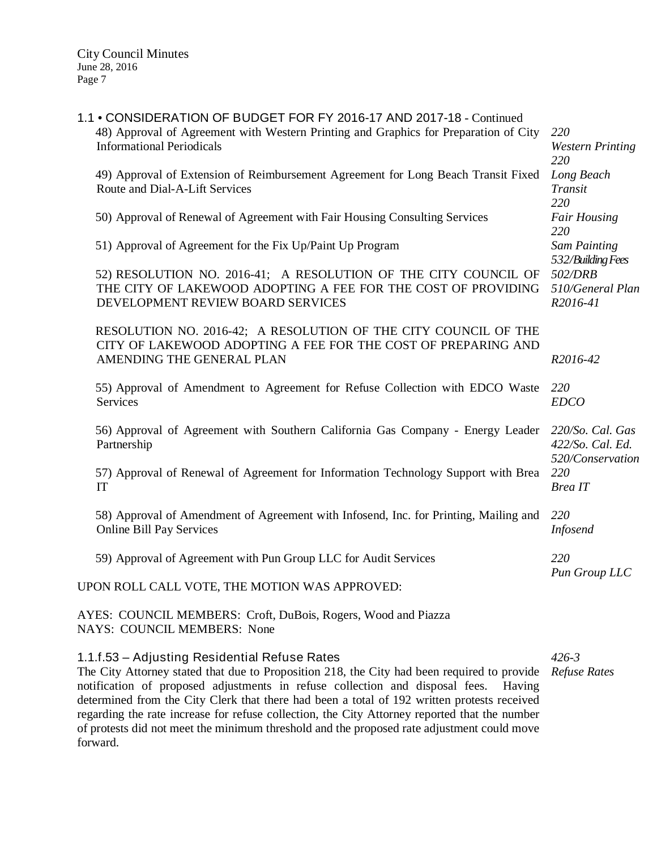|                                               | 1.1 • CONSIDERATION OF BUDGET FOR FY 2016-17 AND 2017-18 - Continued                                                                                                  |                                                              |
|-----------------------------------------------|-----------------------------------------------------------------------------------------------------------------------------------------------------------------------|--------------------------------------------------------------|
|                                               | 48) Approval of Agreement with Western Printing and Graphics for Preparation of City<br><b>Informational Periodicals</b>                                              | 220<br><b>Western Printing</b><br>220                        |
|                                               | 49) Approval of Extension of Reimbursement Agreement for Long Beach Transit Fixed<br>Route and Dial-A-Lift Services                                                   | Long Beach<br>Transit<br>220                                 |
|                                               | 50) Approval of Renewal of Agreement with Fair Housing Consulting Services                                                                                            | <b>Fair Housing</b><br>220                                   |
|                                               | 51) Approval of Agreement for the Fix Up/Paint Up Program                                                                                                             | Sam Painting                                                 |
|                                               | 52) RESOLUTION NO. 2016-41; A RESOLUTION OF THE CITY COUNCIL OF<br>THE CITY OF LAKEWOOD ADOPTING A FEE FOR THE COST OF PROVIDING<br>DEVELOPMENT REVIEW BOARD SERVICES | 532/Building Fees<br>502/DRB<br>510/General Plan<br>R2016-41 |
|                                               | RESOLUTION NO. 2016-42; A RESOLUTION OF THE CITY COUNCIL OF THE<br>CITY OF LAKEWOOD ADOPTING A FEE FOR THE COST OF PREPARING AND<br>AMENDING THE GENERAL PLAN         | R2016-42                                                     |
|                                               | 55) Approval of Amendment to Agreement for Refuse Collection with EDCO Waste<br><b>Services</b>                                                                       | 220<br><b>EDCO</b>                                           |
|                                               | 56) Approval of Agreement with Southern California Gas Company - Energy Leader<br>Partnership                                                                         | 220/So. Cal. Gas<br>422/So. Cal. Ed.                         |
|                                               | 57) Approval of Renewal of Agreement for Information Technology Support with Brea<br>IT                                                                               | 520/Conservation<br>220<br>Brea IT                           |
|                                               | 58) Approval of Amendment of Agreement with Infosend, Inc. for Printing, Mailing and<br><b>Online Bill Pay Services</b>                                               | 220<br>Infosend                                              |
|                                               | 59) Approval of Agreement with Pun Group LLC for Audit Services                                                                                                       | 220<br>Pun Group LLC                                         |
| UPON ROLL CALL VOTE, THE MOTION WAS APPROVED: |                                                                                                                                                                       |                                                              |
|                                               | AYES: COUNCIL MEMBERS: Croft, DuBois, Rogers, Wood and Piazza<br>NAYS: COUNCIL MEMBERS: None                                                                          |                                                              |
|                                               | 1.1.f.53 - Adjusting Residential Refuse Rates                                                                                                                         | $426 - 3$                                                    |

The City Attorney stated that due to Proposition 218, the City had been required to provide *Refuse Rates*notification of proposed adjustments in refuse collection and disposal fees. Having determined from the City Clerk that there had been a total of 192 written protests received regarding the rate increase for refuse collection, the City Attorney reported that the number of protests did not meet the minimum threshold and the proposed rate adjustment could move forward.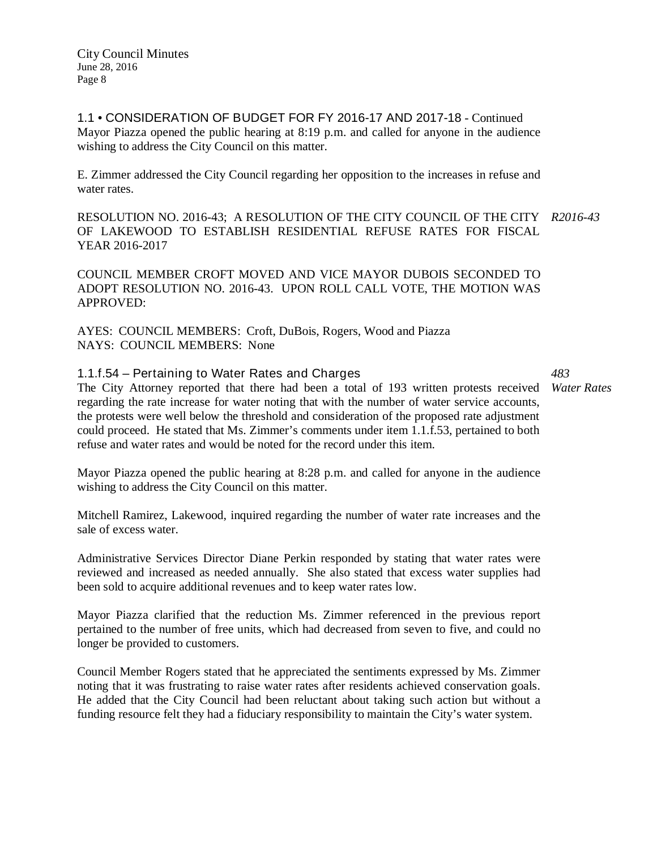1.1 • CONSIDERATION OF BUDGET FOR FY 2016-17 AND 2017-18 - Continued Mayor Piazza opened the public hearing at 8:19 p.m. and called for anyone in the audience wishing to address the City Council on this matter.

E. Zimmer addressed the City Council regarding her opposition to the increases in refuse and water rates.

RESOLUTION NO. 2016-43; A RESOLUTION OF THE CITY COUNCIL OF THE CITY *R2016-43* OF LAKEWOOD TO ESTABLISH RESIDENTIAL REFUSE RATES FOR FISCAL YEAR 2016-2017

COUNCIL MEMBER CROFT MOVED AND VICE MAYOR DUBOIS SECONDED TO ADOPT RESOLUTION NO. 2016-43. UPON ROLL CALL VOTE, THE MOTION WAS APPROVED:

AYES: COUNCIL MEMBERS: Croft, DuBois, Rogers, Wood and Piazza NAYS: COUNCIL MEMBERS: None

# 1.1.f.54 – Pertaining to Water Rates and Charges

The City Attorney reported that there had been a total of 193 written protests received *Water Rates* regarding the rate increase for water noting that with the number of water service accounts, the protests were well below the threshold and consideration of the proposed rate adjustment could proceed. He stated that Ms. Zimmer's comments under item 1.1.f.53, pertained to both refuse and water rates and would be noted for the record under this item.

Mayor Piazza opened the public hearing at 8:28 p.m. and called for anyone in the audience wishing to address the City Council on this matter.

Mitchell Ramirez, Lakewood, inquired regarding the number of water rate increases and the sale of excess water.

Administrative Services Director Diane Perkin responded by stating that water rates were reviewed and increased as needed annually. She also stated that excess water supplies had been sold to acquire additional revenues and to keep water rates low.

Mayor Piazza clarified that the reduction Ms. Zimmer referenced in the previous report pertained to the number of free units, which had decreased from seven to five, and could no longer be provided to customers.

Council Member Rogers stated that he appreciated the sentiments expressed by Ms. Zimmer noting that it was frustrating to raise water rates after residents achieved conservation goals. He added that the City Council had been reluctant about taking such action but without a funding resource felt they had a fiduciary responsibility to maintain the City's water system.

*483*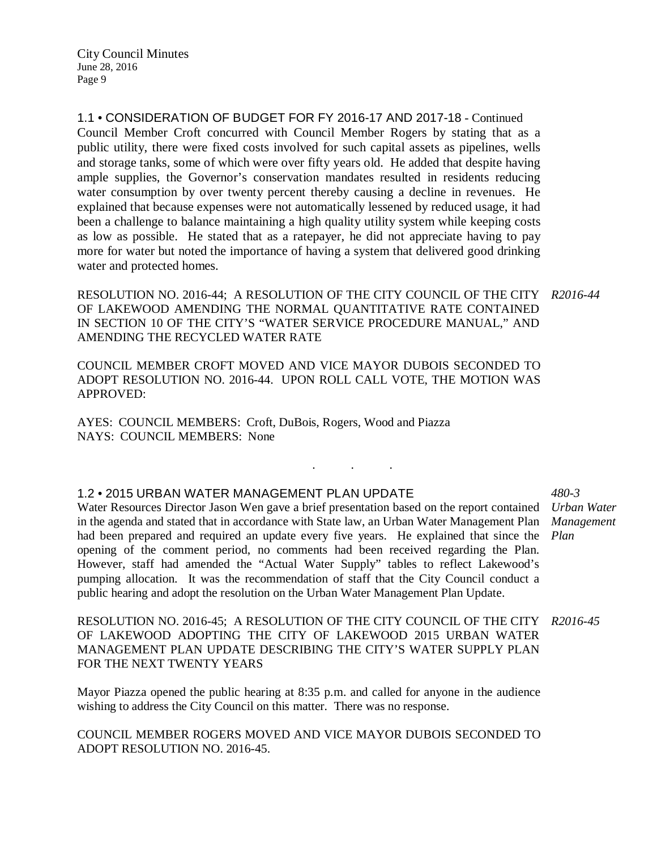1.1 • CONSIDERATION OF BUDGET FOR FY 2016-17 AND 2017-18 - Continued Council Member Croft concurred with Council Member Rogers by stating that as a public utility, there were fixed costs involved for such capital assets as pipelines, wells and storage tanks, some of which were over fifty years old. He added that despite having ample supplies, the Governor's conservation mandates resulted in residents reducing water consumption by over twenty percent thereby causing a decline in revenues. He explained that because expenses were not automatically lessened by reduced usage, it had been a challenge to balance maintaining a high quality utility system while keeping costs as low as possible. He stated that as a ratepayer, he did not appreciate having to pay more for water but noted the importance of having a system that delivered good drinking water and protected homes.

RESOLUTION NO. 2016-44; A RESOLUTION OF THE CITY COUNCIL OF THE CITY *R2016-44* OF LAKEWOOD AMENDING THE NORMAL QUANTITATIVE RATE CONTAINED IN SECTION 10 OF THE CITY'S "WATER SERVICE PROCEDURE MANUAL," AND AMENDING THE RECYCLED WATER RATE

. . .

COUNCIL MEMBER CROFT MOVED AND VICE MAYOR DUBOIS SECONDED TO ADOPT RESOLUTION NO. 2016-44. UPON ROLL CALL VOTE, THE MOTION WAS APPROVED:

AYES: COUNCIL MEMBERS: Croft, DuBois, Rogers, Wood and Piazza NAYS: COUNCIL MEMBERS: None

### 1.2 • 2015 URBAN WATER MANAGEMENT PLAN UPDATE

Water Resources Director Jason Wen gave a brief presentation based on the report contained *Urban Water*  in the agenda and stated that in accordance with State law, an Urban Water Management Plan *Management*  had been prepared and required an update every five years. He explained that since the opening of the comment period, no comments had been received regarding the Plan. However, staff had amended the "Actual Water Supply" tables to reflect Lakewood's pumping allocation. It was the recommendation of staff that the City Council conduct a public hearing and adopt the resolution on the Urban Water Management Plan Update.

*480-3 Plan*

RESOLUTION NO. 2016-45; A RESOLUTION OF THE CITY COUNCIL OF THE CITY *R2016-45* OF LAKEWOOD ADOPTING THE CITY OF LAKEWOOD 2015 URBAN WATER MANAGEMENT PLAN UPDATE DESCRIBING THE CITY'S WATER SUPPLY PLAN FOR THE NEXT TWENTY YEARS

Mayor Piazza opened the public hearing at 8:35 p.m. and called for anyone in the audience wishing to address the City Council on this matter. There was no response.

COUNCIL MEMBER ROGERS MOVED AND VICE MAYOR DUBOIS SECONDED TO ADOPT RESOLUTION NO. 2016-45.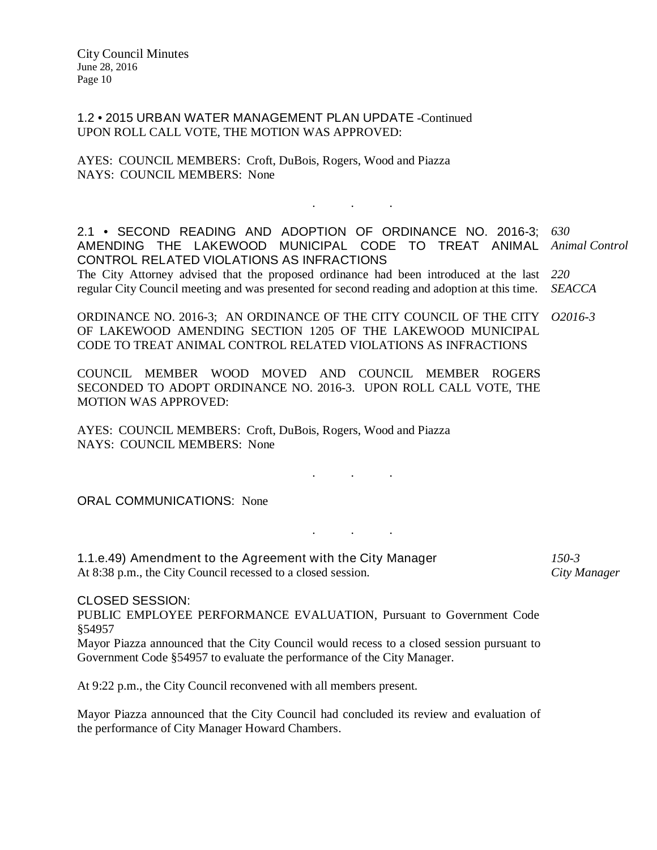1.2 • 2015 URBAN WATER MANAGEMENT PLAN UPDATE -Continued UPON ROLL CALL VOTE, THE MOTION WAS APPROVED:

AYES: COUNCIL MEMBERS: Croft, DuBois, Rogers, Wood and Piazza NAYS: COUNCIL MEMBERS: None

2.1 • SECOND READING AND ADOPTION OF ORDINANCE NO. 2016-3; AMENDING THE LAKEWOOD MUNICIPAL CODE TO TREAT ANIMAL CONTROL RELATED VIOLATIONS AS INFRACTIONS *630 Animal Control*

. . .

The City Attorney advised that the proposed ordinance had been introduced at the last *220* regular City Council meeting and was presented for second reading and adoption at this time. *SEACCA*

ORDINANCE NO. 2016-3; AN ORDINANCE OF THE CITY COUNCIL OF THE CITY OF LAKEWOOD AMENDING SECTION 1205 OF THE LAKEWOOD MUNICIPAL CODE TO TREAT ANIMAL CONTROL RELATED VIOLATIONS AS INFRACTIONS *O2016-3*

COUNCIL MEMBER WOOD MOVED AND COUNCIL MEMBER ROGERS SECONDED TO ADOPT ORDINANCE NO. 2016-3. UPON ROLL CALL VOTE, THE MOTION WAS APPROVED:

AYES: COUNCIL MEMBERS: Croft, DuBois, Rogers, Wood and Piazza NAYS: COUNCIL MEMBERS: None

ORAL COMMUNICATIONS: None

1.1.e.49) Amendment to the Agreement with the City Manager At 8:38 p.m., the City Council recessed to a closed session. *150-3*

. . .

. . .

*City Manager*

CLOSED SESSION:

PUBLIC EMPLOYEE PERFORMANCE EVALUATION, Pursuant to Government Code §54957

Mayor Piazza announced that the City Council would recess to a closed session pursuant to Government Code §54957 to evaluate the performance of the City Manager.

At 9:22 p.m., the City Council reconvened with all members present.

Mayor Piazza announced that the City Council had concluded its review and evaluation of the performance of City Manager Howard Chambers.